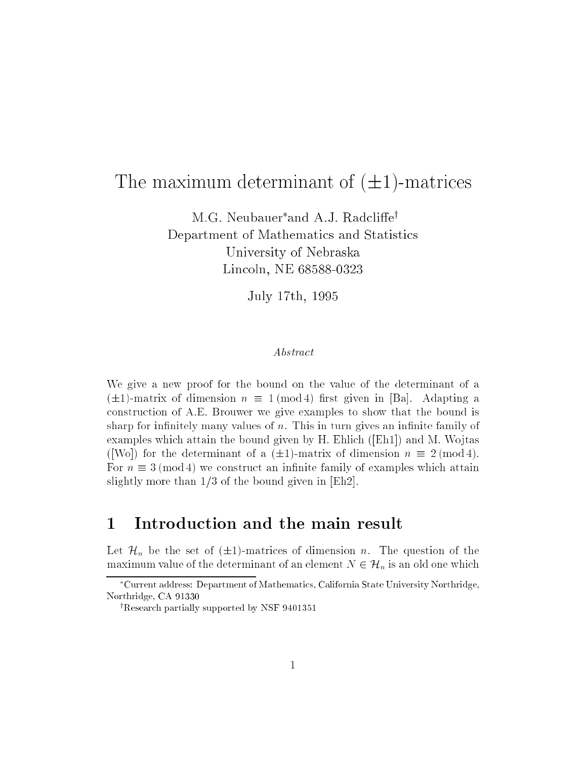M.G. Neubauer\*and A.J. Radcliffe<sup>†</sup> Department of Mathematics and Statistics University of Nebraska Lincoln, NE 68588-0323

July 17th, 1995

#### Abstract

We give a new proof for the bound on the value of the determinant of a  $(\pm 1)$ -matrix of dimension  $n \equiv 1 \pmod{4}$  first given in [Ba]. Adapting a construction of A.E. Brouwer we give examples to show that the bound is sharp for infinitely many values of  $n$ . This in turn gives an infinite family of examples which attain the bound given by  $H$ . Ehlich ([Eh1]) and M. Wojtas ([Wo]) for the determinant of a  $(\pm 1)$ -matrix of dimension  $n \equiv 2 \pmod{4}$ . For  $n \equiv 3 \pmod{4}$  we construct an infinite family of examples which attain slightly more than 1/3 of the bound given in [Eh2].

## 1 Introduction and the main result

Let  $\mathcal{H}_n$  be the set of  $(\pm 1)$ -matrices of dimension n. The question of the maximum value of the determinant of an element  $N \in \mathcal{H}_n$  is an old one which

Current address: Department of Mathematics, California State University Northridge, Northridge, CA 91330

<sup>&</sup>lt;sup>†</sup>Research partially supported by NSF 9401351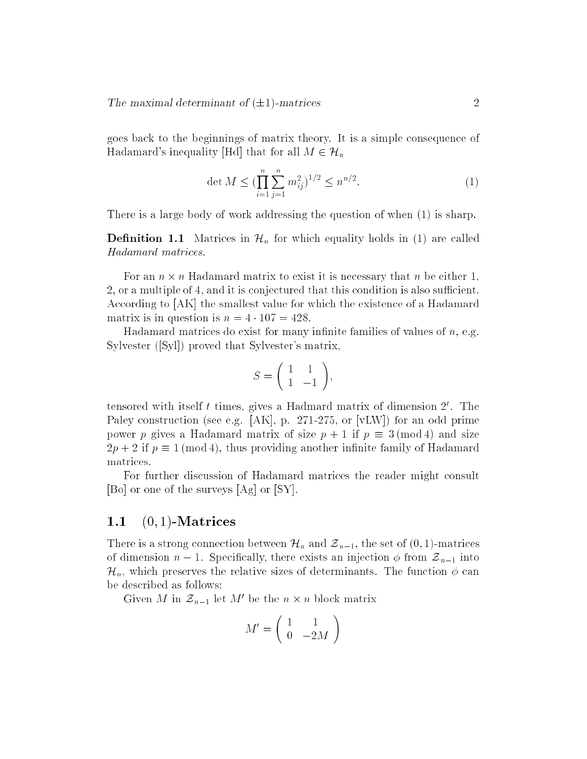goes back to the beginnings of matrix theory. It is a simple consequence of Hadamard's inequality [Hd] that for all  $M \in \mathcal{H}_n$ 

$$
\det M \le \left(\prod_{i=1}^{n} \sum_{j=1}^{n} m_{ij}^{2}\right)^{1/2} \le n^{n/2}.
$$
 (1)

There is a large body of work addressing the question of when (1) is sharp.

**Definition 1.1** Matrices in  $\mathcal{H}_n$  for which equality holds in (1) are called Hadamard matrices.

For an n - n Hadamard matrix to exist it is necessary that n be either 1, 2, or a multiple of 4, and it is conjectured that this condition is also sufficient. According to [AK] the smallest value for which the existence of a Hadamard matrix is in question is  $n = 4 \cdot 107 = 428$ .

Hadamard matrices do exist for many infinite families of values of  $n$ , e.g. Sylvester ([Syl]) proved that Sylvester's matrix,

$$
S = \left(\begin{array}{cc} 1 & 1 \\ 1 & -1 \end{array}\right),
$$

tensored with itself t times, gives a Hadmard matrix of dimension  $2^{\circ}$ . The Paley construction (see e.g. [AK], p. 271-275, or [vLW]) for an odd prime power p gives a Hadamard matrix of size  $p + 1$  if  $p \equiv 3 \pmod{4}$  and size  $2p + 2$  if  $p \equiv 1 \pmod{4}$ , thus providing another infinite family of Hadamard matrices.

For further discussion of Hadamard matrices the reader might consult [Bo] or one of the surveys [Ag] or [SY].

#### 1.1  $(0, 1)$ -Matrices

There is a strong connection between  $\mathcal{H}_n$  and  $\mathcal{Z}_{n-1}$ , the set of  $(0, 1)$ -matrices of dimension  $n-1$ . Specifically, there exists an injection  $\phi$  from  $\mathcal{Z}_{n-1}$  into  $\mathcal{H}_n$ , which preserves the relative sizes of determinants. The function  $\phi$  can be described as follows:

Given *m* in  $z_{n-1}$  let *m* be the *n*  $\times$  *n* block matrix

$$
M' = \left(\begin{array}{cc} 1 & 1 \\ 0 & -2M \end{array}\right)
$$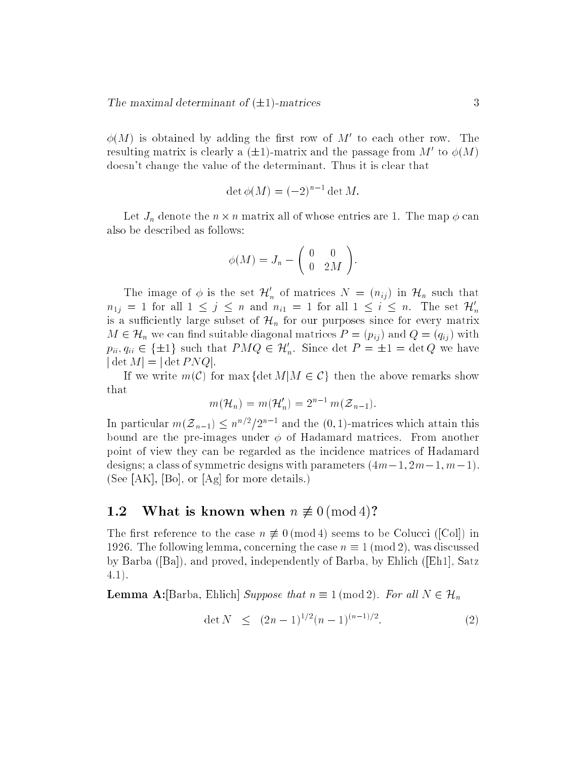$\varphi(M$  ) is obtained by adding the hist row of  $M$  -to each other row. The resulting matrix is clearly a  $(\pm 1)$ -matrix and the passage from  $M$  to  $\varphi(M)$ doesn't change the value of the determinant. Thus it is clear that

$$
\det \phi(M) = (-2)^{n-1} \det M.
$$

 $-$  1.  $_{\mu}$  denote the n matrix all of whose entries are 1. The matrix and  $_{\mu}$  are  $_{\tau}$  . The also be described as follows:

$$
\phi(M) = J_n - \begin{pmatrix} 0 & 0 \\ 0 & 2M \end{pmatrix}.
$$

The image of  $\varphi$  is the set  $\mathcal{H}_n$  of matrices  $N = (n_{ij})$  in  $\mathcal{H}_n$  such that  $n_{1j} = 1$  for all  $1 \leq j \leq n$  and  $n_{i1} = 1$  for all  $1 \leq i \leq n$ . The set  $\mathcal{H}'_n$ is a sufficiently large subset of  $\mathcal{H}_n$  for our purposes since for every matrix  $M \in \mathcal{H}_n$  we can find suitable diagonal matrices  $P = (p_{ij})$  and  $Q = (q_{ij})$  with  $p_{ii}, q_{ii} \in \{\pm 1\}$  such that  $PMQ \in H_n$ . Since det  $P = \pm 1 = \det Q$  we have j det M<sup>j</sup> = <sup>j</sup> det P NQj.

If we write  $m(\mathcal{C})$  for max {det  $M|M \in \mathcal{C}$ } then the above remarks show that

$$
m(\mathcal{H}_n) = m(\mathcal{H}'_n) = 2^{n-1} m(\mathcal{Z}_{n-1}).
$$

In particular  $m(z_{n-1}) \leq n+2$  and the  $(0,1)$ -matrices which attain this bound are the pre-images under  $\phi$  of Hadamard matrices. From another point of view they can be regarded as the incidence matrices of Hadamard designs; a class of symmetric designs with parameters  $(4m-1, 2m-1, m-1)$ . (See [AK], [Bo], or [Ag] for more details.)

#### 1.2 What is known when  $n \not\equiv 0 \pmod{4}$ ?

The first reference to the case  $n \not\equiv 0 \pmod{4}$  seems to be Colucci ([Col]) in 1926. The following lemma, concerning the case  $n \equiv 1 \pmod{2}$ , was discussed by Barba ([Ba]), and proved, independently of Barba, by Ehlich ([Eh1], Satz 4.1).

**Lemma A:**[Barba, Ehlich] Suppose that  $n \equiv 1 \pmod{2}$ . For all  $N \in \mathcal{H}_n$ 

$$
\det N \le (2n-1)^{1/2}(n-1)^{(n-1)/2}.
$$
 (2)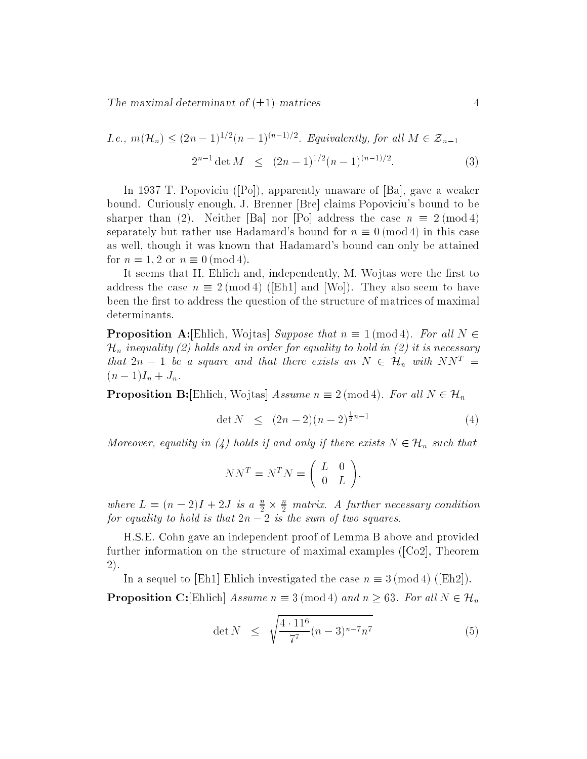*I.e.*, 
$$
m(\mathcal{H}_n) \le (2n-1)^{1/2}(n-1)^{(n-1)/2}
$$
. Equivalently, for all  $M \in \mathcal{Z}_{n-1}$   

$$
2^{n-1} \det M \le (2n-1)^{1/2}(n-1)^{(n-1)/2}.
$$
 (3)

In 1937 T. Popoviciu ([Po]), apparently unaware of [Ba], gave a weaker bound. Curiously enough, J. Brenner [Bre] claims Popoviciu's bound to be sharper than (2). Neither [Ba] nor [Po] address the case  $n \equiv 2 \pmod{4}$ separately but rather use Hadamard's bound for  $n \equiv 0 \pmod{4}$  in this case as well, though it was known that Hadamard's bound can only be attained for  $n = 1, 2$  or  $n \equiv 0 \pmod{4}$ .

It seems that H. Ehlich and, independently, M. Wojtas were the first to address the case  $n \equiv 2 \pmod{4}$  ([Eh1] and [Wo]). They also seem to have been the first to address the question of the structure of matrices of maximal determinants.

**Proposition A:**[Ehlich, Wojtas] Suppose that  $n \equiv 1 \pmod{4}$ . For all  $N \in$  $\mathcal{H}_n$  inequality (2) holds and in order for equality to hold in (2) it is necessary that  $2n - 1$  be a square and that there exists an  $N \in \mathcal{H}_n$  with  $NN^T =$  $(n - 1)I_n + J_n$ .

**Proposition B:**[Ehlich, Wojtas] Assume  $n \equiv 2 \pmod{4}$ . For all  $N \in \mathcal{H}_n$ 

$$
\det N \le (2n-2)(n-2)^{\frac{1}{2}n-1} \tag{4}
$$

Moreover, equality in (4) holds if and only if there exists  $N \in \mathcal{H}_n$  such that

$$
NN^T = N^T N = \begin{pmatrix} L & 0 \\ 0 & L \end{pmatrix},
$$

where  $L = (n - 2)I + 2J$  is  $a \frac{1}{2} \times \frac{2}{2}$  matrix. A juriner necessary condition for equality to hold is that  $2n - 2$  is the sum of two squares.

H.S.E. Cohn gave an independent proof of Lemma B above and provided further information on the structure of maximal examples ([Co2], Theorem 2).

In a sequel to [Eh1] Ehlich investigated the case  $n \equiv 3 \pmod{4}$  ([Eh2]). **Proposition C:**[Ehlich] Assume  $n \equiv 3 \pmod{4}$  and  $n \geq 63$ . For all  $N \in \mathcal{H}_n$ 

$$
\det N \leq \sqrt{\frac{4 \cdot 11^6}{7^7} (n-3)^{n-7} n^7}
$$
 (5)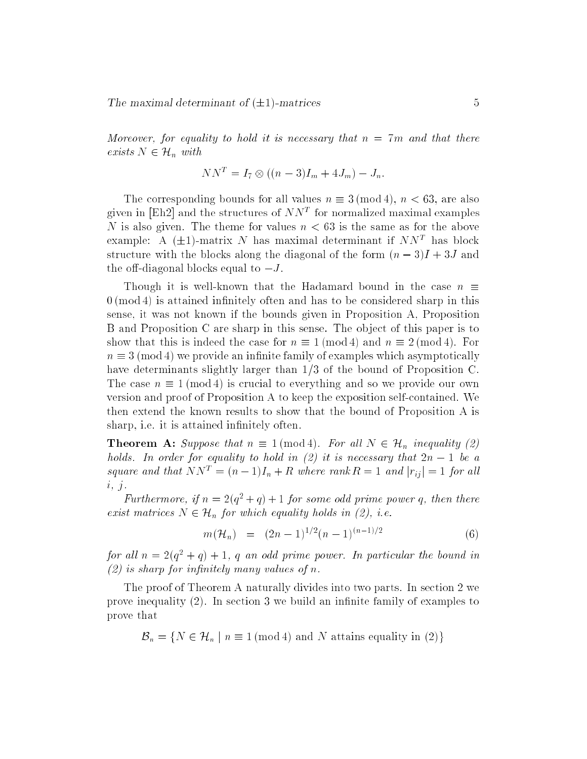Moreover, for equality to hold it is necessary that  $n = 7m$  and that there exists  $N \in \mathcal{H}_n$  with

$$
NN^{T} = I_{7} \otimes ((n - 3)I_{m} + 4J_{m}) - J_{n}.
$$

The corresponding bounds for all values  $n \equiv 3 \pmod{4}$ ,  $n < 63$ , are also given in [Eh2] and the structures of NN<sup>T</sup> for normalized maximal examples N is also given. The theme for values  $n < 63$  is the same as for the above example: A (±1)-matrix *i*v has maximal determinant if *iviv* = has block structure with the blocks along the diagonal of the form  $(n - 3)I + 3J$  and the off-diagonal blocks equal to  $-J$ .

Though it is well-known that the Hadamard bound in the case  $n \equiv$  $0 \pmod{4}$  is attained infinitely often and has to be considered sharp in this sense, it was not known if the bounds given in Proposition A, Proposition B and Proposition C are sharp in this sense. The ob ject of this paper is to show that this is indeed the case for  $n \equiv 1 \pmod{4}$  and  $n \equiv 2 \pmod{4}$ . For  $n \equiv 3 \pmod{4}$  we provide an infinite family of examples which asymptotically have determinants slightly larger than 1/3 of the bound of Proposition C. The case  $n \equiv 1 \pmod{4}$  is crucial to everything and so we provide our own version and proof of Proposition A to keep the exposition self-contained. We then extend the known results to show that the bound of Proposition A is sharp, i.e. it is attained infinitely often.

**Theorem A:** Suppose that  $n \equiv 1 \pmod{4}$ . For all  $N \in \mathcal{H}_n$  inequality (2) holds. In order for equality to hold in (2) it is necessary that  $2n - 1$  be a square and that  $NN^T = (n-1)I_n + R$  where rank  $R = 1$  and  $|r_{ij}| = 1$  for all  $i, j.$ 

Furthermore, if  $n = 2(q^2 + q) + 1$  for some odd prime power q, then there exist matrices  $N \in \mathcal{H}_n$  for which equality holds in (2), i.e.

$$
m(\mathcal{H}_n) = (2n-1)^{1/2}(n-1)^{(n-1)/2} \tag{6}
$$

for all  $n = 2(q^2 + q) + 1$ , q an odd prime power. In particular the bound in  $(2)$  is sharp for infinitely many values of n.

The proof of Theorem A naturally divides into two parts. In section 2 we prove inequality  $(2)$ . In section 3 we build an infinite family of examples to prove that

 $\mathcal{B}_n = \{ N \in \mathcal{H}_n \mid n \equiv 1 \text{ (mod 4) and } N \text{ attains equality in (2)} \}$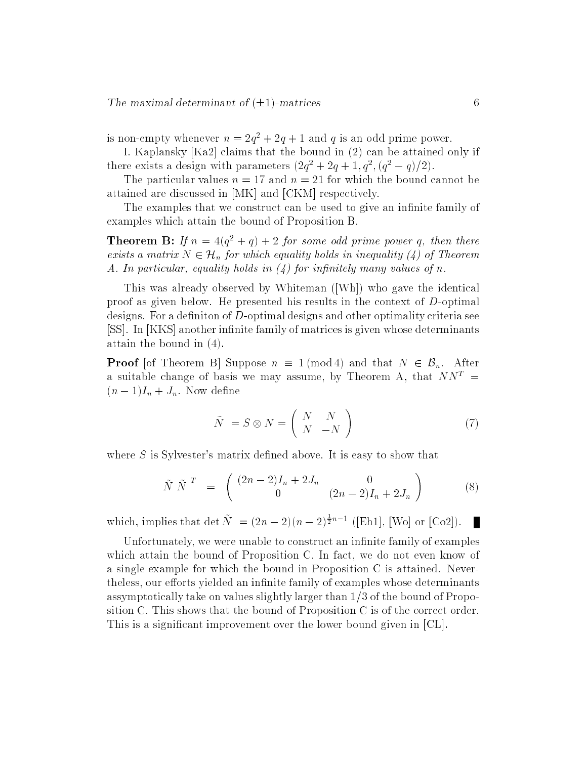is non-empty whenever  $n = 2q^2 + 2q + 1$  and q is an odd prime power.

I. Kaplansky [Ka2] claims that the bound in (2) can be attained only if there exists a design with parameters  $(2q^2 + 2q + 1, q^2, (q^2 - q)/2)$ .

The particular values  $n = 17$  and  $n = 21$  for which the bound cannot be attained are discussed in [MK] and [CKM] respectively.

The examples that we construct can be used to give an infinite family of examples which attain the bound of Proposition B.

**Theorem B:** If  $n = 4(q^2 + q) + 2$  for some odd prime power q, then there exists a matrix  $N \in \mathcal{H}_n$  for which equality holds in inequality (4) of Theorem A. In particular, equality holds in  $(4)$  for infinitely many values of n.

This was already observed by Whiteman ([Wh]) who gave the identical proof as given below. He presented his results in the context of  $D$ -optimal designs. For a definiton of D-optimal designs and other optimality criteria see [SS]. In [KKS] another infinite family of matrices is given whose determinants attain the bound in (4).

**Proof** [of Theorem B] Suppose  $n \equiv 1 \pmod{4}$  and that  $N \in \mathcal{B}_n$ . After a suitable change of basis we may assume, by Theorem A, that  $NN^T =$  $(n-1)I_n + J_n$ . Now define

$$
\tilde{N} = S \otimes N = \begin{pmatrix} N & N \\ N & -N \end{pmatrix}
$$
\n(7)

where  $S$  is Sylvester's matrix defined above. It is easy to show that

$$
\tilde{N} \tilde{N}^T = \begin{pmatrix} (2n-2)I_n + 2J_n & 0\\ 0 & (2n-2)I_n + 2J_n \end{pmatrix}
$$
 (8)

which, implies that  $\det N = (2n-2)(n-2)^{\frac{1}{2}n-1}$  ([Eh1], [Wo] or [Co2]).

Unfortunately, we were unable to construct an infinite family of examples which attain the bound of Proposition C. In fact, we do not even know of a single example for which the bound in Proposition C is attained. Nevertheless, our efforts yielded an infinite family of examples whose determinants assymptotically take on values slightly larger than 1/3 of the bound of Proposition C. This shows that the bound of Proposition C is of the correct order. This is a signicant improvement over the lower bound given in [CL].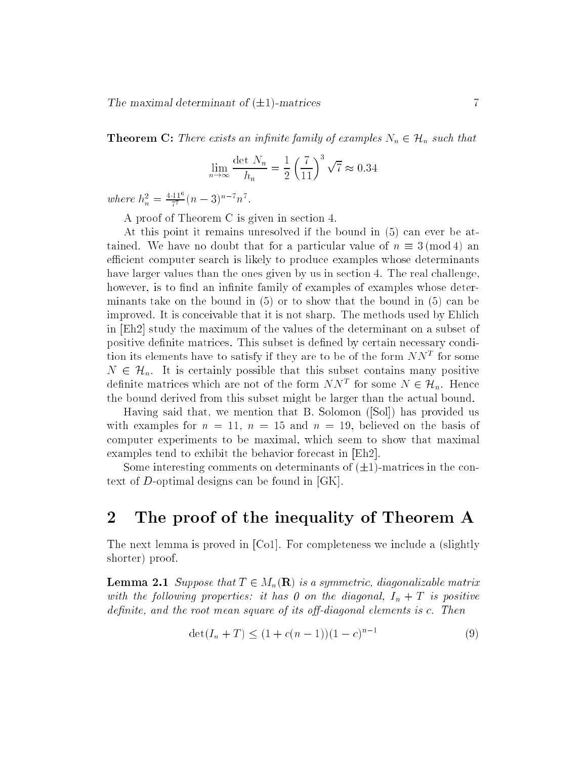**Theorem C:** There exists an infinite family of examples  $N_n \in \mathcal{H}_n$  such that

$$
\lim_{n \to \infty} \frac{\det N_n}{h_n} = \frac{1}{2} \left(\frac{7}{11}\right)^3 \sqrt{7} \approx 0.34
$$

where  $h_n^2 = \frac{4 \cdot 11^2}{7^7} (n-3)^{n-7} n^7$ .

A proof of Theorem C is given in section 4.

At this point it remains unresolved if the bound in (5) can ever be attained. We have no doubt that for a particular value of  $n \equiv 3 \pmod{4}$  an efficient computer search is likely to produce examples whose determinants have larger values than the ones given by us in section 4. The real challenge, however, is to find an infinite family of examples of examples whose determinants take on the bound in (5) or to show that the bound in (5) can be improved. It is conceivable that it is not sharp. The methods used by Ehlich in [Eh2] study the maximum of the values of the determinant on a subset of positive definite matrices. This subset is defined by certain necessary condition its elements have to satisfy if they are to be of the form *ININ* for some  $N \in \mathcal{H}_n$ . It is certainly possible that this subset contains many positive definite matrices which are not of the form  $N N^*$  for some  $N \in \mathcal{H}_n$ . Hence the bound derived from this subset might be larger than the actual bound.

Having said that, we mention that B. Solomon ([Sol]) has provided us with examples for  $n = 11$ ,  $n = 15$  and  $n = 19$ , believed on the basis of computer experiments to be maximal, which seem to show that maximal examples tend to exhibit the behavior forecast in [Eh2].

Some interesting comments on determinants of  $(\pm 1)$ -matrices in the context of D-optimal designs can be found in [GK].

### 2 The proof of the inequality of Theorem A

The next lemma is proved in [Co1]. For completeness we include a (slightly shorter) proof.

**Lemma 2.1** Suppose that  $T \in M_n(\mathbf{R})$  is a symmetric, diagonalizable matrix with the following properties: it has 0 on the diagonal,  $I_n + T$  is positive definite, and the root mean square of its off-diagonal elements is  $c$ . Then

$$
\det(I_n + T) \le (1 + c(n - 1))(1 - c)^{n-1} \tag{9}
$$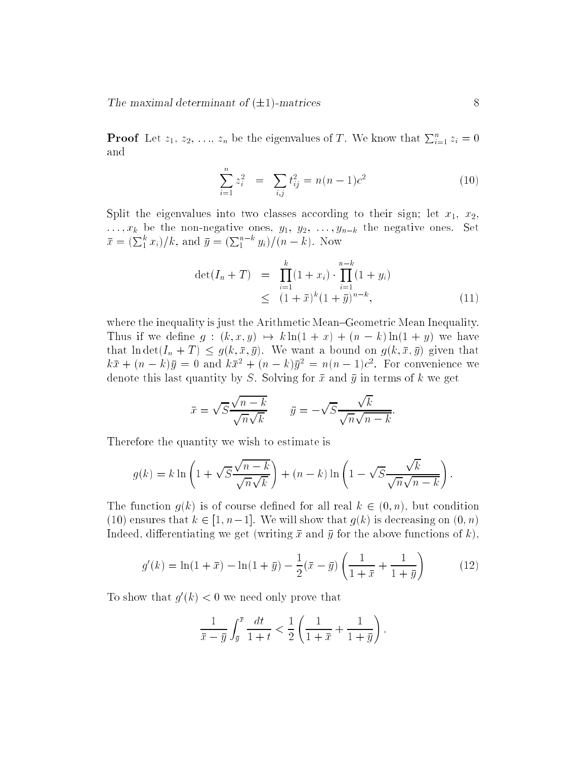**Proof** Let  $z_1, z_2, \ldots, z_n$  be the eigenvalues of T. We know that  $\sum_{i=1}^n z_i = 0$ and

$$
\sum_{i=1}^{n} z_i^2 = \sum_{i,j} t_{ij}^2 = n(n-1)c^2
$$
 (10)

Split the eigenvalues into two classes according to their sign; let  $x_1, x_2$ , : : : ; xk be the non-negative ones, y1, y2, : : : ; ynk the negative ones. Set  $\bar{x} = (\sum_{1}^{k} x_i)/k$ , and  $\bar{y} = (\sum_{1}^{n-k} y_i)/(n-k)$ . Now

$$
\det(I_n + T) = \prod_{i=1}^k (1 + x_i) \cdot \prod_{i=1}^{n-k} (1 + y_i)
$$
  
 
$$
\leq (1 + \bar{x})^k (1 + \bar{y})^{n-k}, \tag{11}
$$

where the inequality is just the Arithmetic Mean–Geometric Mean Inequality. Thus if we define  $g:(k, x, y) \mapsto k \ln(1 + x) + (n - k) \ln(1 + y)$  we have that ln det $(I_n + T) \leq g(k, \bar{x}, \bar{y})$ . We want a bound on  $g(k, \bar{x}, \bar{y})$  given that  $\kappa x + (n - \kappa)y = 0$  and  $\kappa x^2 + (n - \kappa)y^2 = n(n - 1)c^2$ . For convenience we denote this last quantity by S. Solving for  $\bar{x}$  and  $\bar{y}$  in terms of k we get

$$
\bar{x} = \sqrt{S} \frac{\sqrt{n-k}}{\sqrt{n}\sqrt{k}} \qquad \bar{y} = -\sqrt{S} \frac{\sqrt{k}}{\sqrt{n}\sqrt{n-k}}.
$$

Therefore the quantity we wish to estimate is

$$
g(k) = k \ln \left( 1 + \sqrt{S} \frac{\sqrt{n-k}}{\sqrt{n} \sqrt{k}} \right) + (n-k) \ln \left( 1 - \sqrt{S} \frac{\sqrt{k}}{\sqrt{n} \sqrt{n-k}} \right).
$$

The function  $g(k)$  is of course defined for all real  $k \in (0, n)$ , but condition (10) ensures that  $k \in [1, n-1]$ . We will show that  $g(k)$  is decreasing on  $(0, n)$ Indeed, differentiating we get (writing  $\bar{x}$  and  $\bar{y}$  for the above functions of k),

$$
g'(k) = \ln(1+\bar{x}) - \ln(1+\bar{y}) - \frac{1}{2}(\bar{x}-\bar{y})\left(\frac{1}{1+\bar{x}} + \frac{1}{1+\bar{y}}\right)
$$
(12)

To show that  $q(k) < 0$  we need only prove that

$$
\frac{1}{\bar{x} - \bar{y}} \int_{\bar{y}}^{\bar{x}} \frac{dt}{1 + t} < \frac{1}{2} \left( \frac{1}{1 + \bar{x}} + \frac{1}{1 + \bar{y}} \right).
$$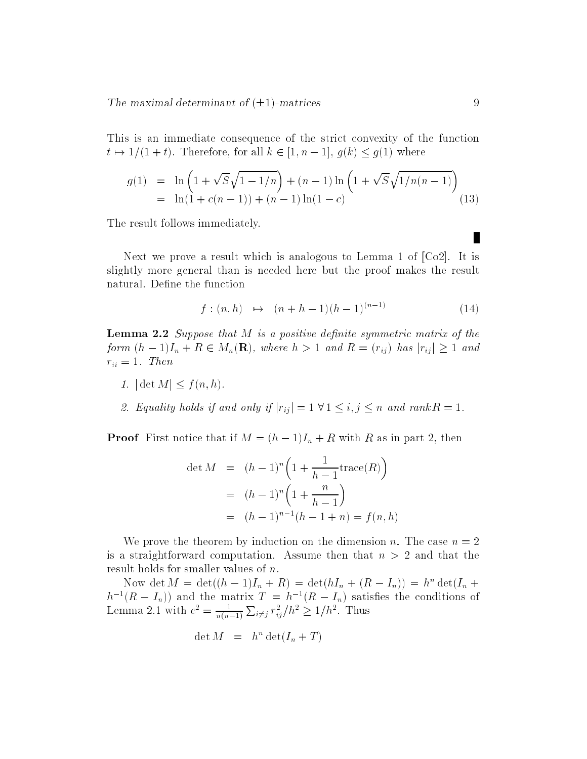This is an immediate consequence of the strict convexity of the function  $t \mapsto 1/(1 + t)$ . Therefore, for all  $k \in [1, n - 1], g(k) \le g(1)$  where

$$
g(1) = \ln\left(1 + \sqrt{S}\sqrt{1 - 1/n}\right) + (n - 1)\ln\left(1 + \sqrt{S}\sqrt{1/n(n - 1)}\right)
$$
  
=  $\ln(1 + c(n - 1)) + (n - 1)\ln(1 - c)$  (13)

The result follows immediately.

Next we prove a result which is analogous to Lemma 1 of [Co2]. It is slightly more general than is needed here but the proof makes the result natural. Define the function

$$
f: (n,h) \mapsto (n+h-1)(h-1)^{(n-1)} \tag{14}
$$

**Lemma 2.2** Suppose that M is a positive definite symmetric matrix of the form  $(h - 1)I_n + R \in M_n(\mathbf{R})$ , where  $h > 1$  and  $R = (r_{ij})$  has  $|r_{ij}| \ge 1$  and  $r_{ii} = 1$ . Then

- 1.  $|\det M| \le f(n, h)$ .
- 2. Equality holds if and only if  $|r_{ij}| = 1 \forall 1 \leq i, j \leq n$  and  $rank R = 1$ .

**Proof** First notice that if  $M = (h-1)I_n + R$  with R as in part 2, then

$$
\det M = (h-1)^n \left( 1 + \frac{1}{h-1} \text{trace}(R) \right)
$$
  
=  $(h-1)^n \left( 1 + \frac{n}{h-1} \right)$   
=  $(h-1)^{n-1} (h-1+n) = f(n,h)$ 

We prove the theorem by induction on the dimension n. The case  $n = 2$ is a straightforward computation. Assume then that  $n > 2$  and that the result holds for smaller values of n.

Now det  $M = \det((n-1)I_n + K) = \det(nI_n + (K - I_n)) = n^{\alpha} \det(I_n +$  $h^{-1}(K = I_n)$  and the matrix  $I = h^{-1}(K = I_n)$  satisfies the conditions of Lemma 2.1 with  $c^2 = \frac{1}{n(n-1)}$  $\overline{\phantom{a}}$  $i \neq j$   $\overline{r_{ij}}/n \leq 1/n$ . I mus

$$
\det M = h^n \det(I_n + T)
$$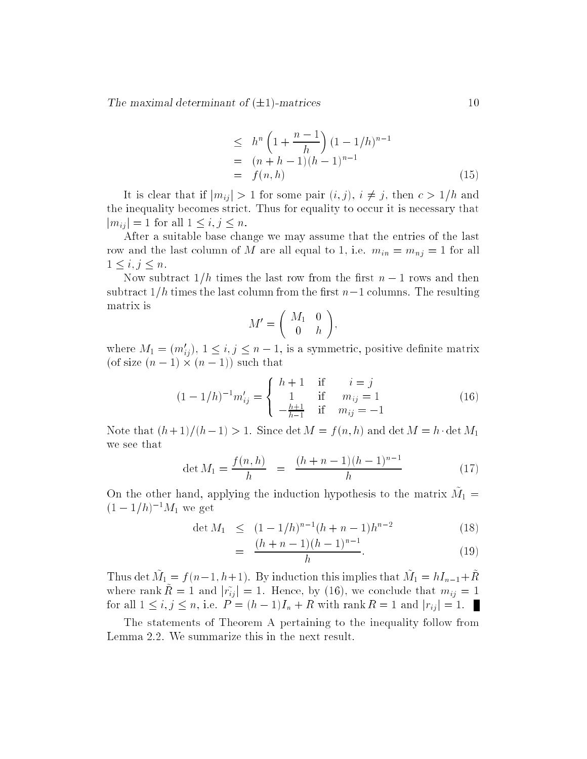$$
\leq h^{n} \left( 1 + \frac{n-1}{h} \right) (1 - 1/h)^{n-1}
$$
  
=  $(n+h-1)(h-1)^{n-1}$   
=  $f(n,h)$  (15)

It is clear that if  $|m_{ij}| > 1$  for some pair  $(i, j)$ ,  $i \neq j$ , then  $c > 1/h$  and the inequality becomes strict. Thus for equality to occur it is necessary that  $|m_{ij}| = 1$  for all  $1 \leq i, j \leq n$ .

After a suitable base change we may assume that the entries of the last row and the last column of M are all equal to 1, i.e.  $m_{in} = m_{nj} = 1$  for all  $1 \leq i, j \leq n$ .

Now subtract  $1/h$  times the last row from the first  $n-1$  rows and then subtract  $1/h$  times the last column from the first  $n-1$  columns. The resulting matrix is  $\overline{\phantom{a}}$ !

$$
M'=\left(\begin{array}{cc}M_1&0\\0&h\end{array}\right)
$$

where  $m_1 = (m_{ij}), 1 \le i, j \le n-1$ , is a symmetric, positive definite matrix (of size (n 1) - (n 1)) such that

$$
(1 - 1/h)^{-1} m'_{ij} = \begin{cases} h+1 & \text{if } i = j \\ 1 & \text{if } m_{ij} = 1 \\ -\frac{h+1}{h-1} & \text{if } m_{ij} = -1 \end{cases}
$$
 (16)

Note that  $(h+1)/(h-1) > 1$ . Since det  $M = f (n, h)$  and det  $M = h \cdot \det M_1$ we see that

$$
\det M_1 = \frac{f(n, h)}{h} = \frac{(h + n - 1)(h - 1)^{n - 1}}{h} \tag{17}
$$

On the other hand, applying the induction hypothesis to the matrix  $M_{\perp} =$  $(1-1/h)^{-1}M_1$  we get

$$
\det M_1 \le (1 - 1/h)^{n-1} (h + n - 1) h^{n-2} \tag{18}
$$

$$
= \frac{(h+n-1)(h-1)^{n-1}}{h}.
$$
 (19)

Thus det  $m_1 = f(n-1, n+1)$ . By induction this implies that  $m_1 = m_{n-1} + n$ where rank  $\hat{R} = 1$  and  $|\tilde{r}_{ij}| = 1$ . Hence, by (16), we conclude that  $m_{ij} = 1$ for all  $1 \le i, j \le n$ , i.e.  $P = (h - 1)I_n + R$  with rank  $R = 1$  and  $|r_{ij}| = 1$ .

The statements of Theorem A pertaining to the inequality follow from Lemma 2.2. We summarize this in the next result.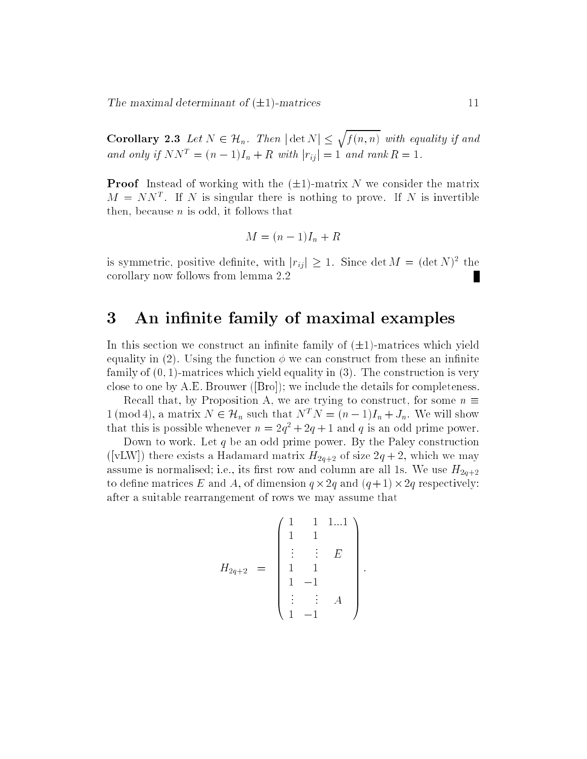Corollary 2.3 Let No. 2.3 Let Night 2.3 Let Night 2.3 Let Night 2.3 Let Night 2.3 Let Night 2.3 Let Night 2.3 f (n; n) with equality if and  $\mathbf{r}$  if and  $\mathbf{r}$  if and  $\mathbf{r}$  if and  $\mathbf{r}$ and only if  $NN^T = (n-1)I_n + R$  with  $|r_{ij}| = 1$  and rank  $R = 1$ .

 $\sim$ 

**Proof** Instead of working with the  $(\pm 1)$ -matrix N we consider the matrix  $M = N N^{\frac{1}{2}}$  . If A is singular there is nothing to prove. If A is invertible then, because  $n$  is odd, it follows that

$$
M = (n-1)I_n + R
$$

is symmetric, positive definite, with  $|r_{ij}|\geq 1$ . Since det  $M_{\parallel} = (\det N)^{-1}$  the corollary now follows from lemma 2.2

### 3 An infinite family of maximal examples

In this section we construct an infinite family of  $(\pm 1)$ -matrices which yield equality in (2). Using the function  $\phi$  we can construct from these an infinite family of (0; 1)-matrices which yield equality in (3). The construction is very close to one by A.E. Brouwer ([Bro]); we include the details for completeness.

Recall that, by Proposition A, we are trying to construct, for some  $n \equiv$ 1 (mod 4), a matrix  $N \in \mathcal{H}_n$  such that  $N^T N = (n-1)I_n + J_n$ . We will show that this is possible whenever  $n = 2q + 2q + 1$  and q is an odd prime power.

Down to work. Let  $q$  be an odd prime power. By the Paley construction ([vLW]) there exists a Hadamard matrix  $H_{2q+2}$  of size  $2q+2$ , which we may assume is normalised; i.e., its first row and column are all 1s. We use  $H_{2q+2}$ to dene matrices E and A, of dimension q -2q and (q + 1)-2q respectively: after a suitable rearrangement of rows we may assume that

$$
H_{2q+2} = \begin{pmatrix} 1 & 1 & 1...1 \\ 1 & 1 & & \\ \vdots & \vdots & E \\ 1 & 1 & & \\ 1 & -1 & & \\ \vdots & \vdots & A \\ 1 & -1 & & \end{pmatrix}
$$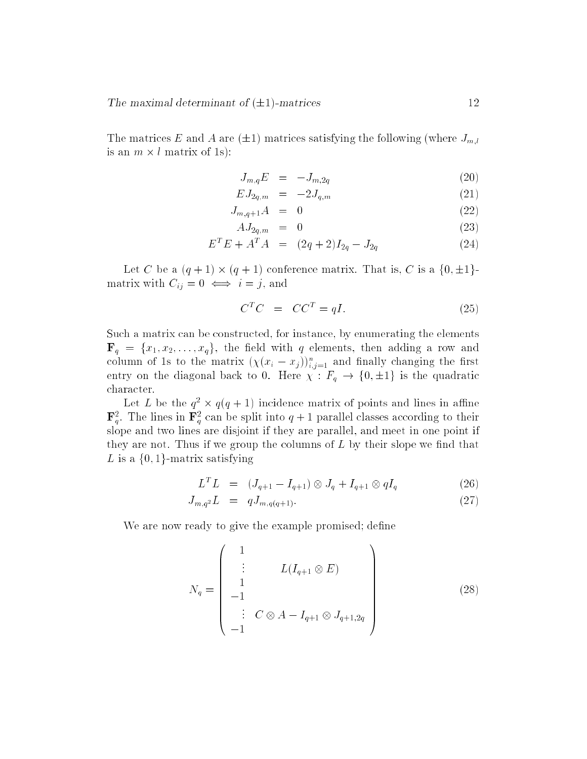The matrices E and A are  $(\pm 1)$  matrices satisfying the following (where  $J_{m,l}$ is an m - l matrix of 1s):

$$
J_{m,q}E = -J_{m,2q} \tag{20}
$$

$$
EJ_{2q,m} = -2J_{q,m} \tag{21}
$$

$$
J_{m,q+1}A = 0 \tag{22}
$$

$$
AJ_{2q,m} = 0 \tag{23}
$$

$$
E^T E + A^T A = (2q + 2)I_{2q} - J_{2q}
$$
 (24)

Let C be a (q + 1) - (q + 1) conference matrix. That is, C is a f0; 1gmatrix with  $C_{ij} = 0 \iff i = j$ , and

$$
C^T C = C C^T = qI. \t\t(25)
$$

Such a matrix can be constructed, for instance, by enumerating the elements  $\mathbf{F}_q = \{x_1, x_2, \ldots, x_q\},\$  the field with q elements, then adding a row and column of is to the matrix  $(\chi(x_i - x_j))_{i,j=1}^{\cdot}$  and mally changing the first entry on the diagonal back to 0. Here  $\chi$  :  $F_q \to \{0,\pm 1\}$  is the quadratic character.

Let L be the  $q^- \times q(q+1)$  incidence matrix of points and lines in alline  ${\bf r}_{g}^{-}$  . The lines in  ${\bf r}_{g}^{-}$  can be spint into  $q+1$  parallel classes according to their slope and two lines are disjoint if they are parallel, and meet in one point if they are not. Thus if we group the columns of  $L$  by their slope we find that L is a  $\{0,1\}$ -matrix satisfying

$$
L^T L = (J_{q+1} - I_{q+1}) \otimes J_q + I_{q+1} \otimes qI_q \tag{26}
$$

$$
J_{m,q^2}L = qJ_{m,q(q+1)}.\t(27)
$$

We are now ready to give the example promised; define

$$
N_q = \begin{pmatrix} 1 & & & \\ \vdots & L(I_{q+1} \otimes E) & \\ 1 & & \\ -1 & & \\ \vdots & C \otimes A - I_{q+1} \otimes J_{q+1,2q} \\ -1 & & \end{pmatrix}
$$
 (28)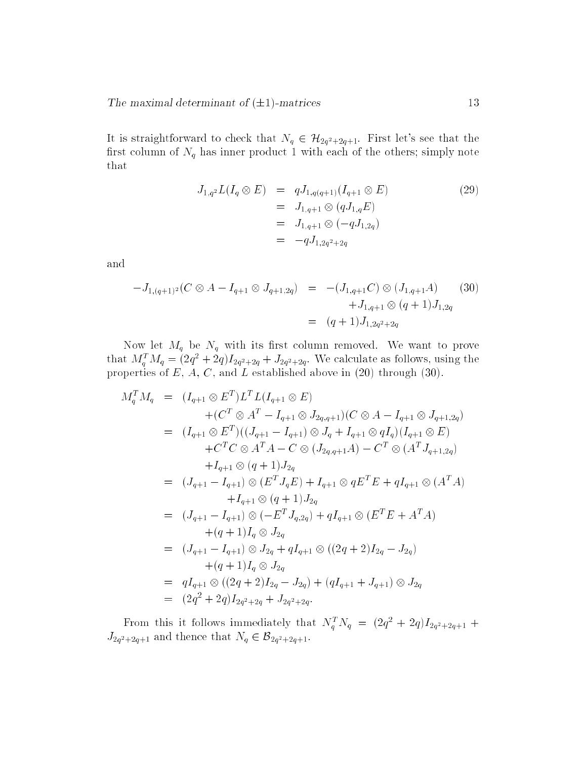It is straightforward to check that  $N_q \in \mathcal{H}_{2q^2+2q+1}$ . First let's see that the first column of  $N_q$  has inner product 1 with each of the others; simply note that

$$
J_{1,q^2}L(I_q \otimes E) = qJ_{1,q(q+1)}(I_{q+1} \otimes E)
$$
  
=  $J_{1,q+1} \otimes (qJ_{1,q}E)$   
=  $J_{1,q+1} \otimes (-qJ_{1,2q})$   
=  $-qJ_{1,2q^2+2q}$  (29)

and

$$
-J_{1,(q+1)^2}(C \otimes A - I_{q+1} \otimes J_{q+1,2q}) = -(J_{1,q+1}C) \otimes (J_{1,q+1}A) \qquad (30)
$$
  

$$
+J_{1,q+1} \otimes (q+1)J_{1,2q}
$$
  

$$
= (q+1)J_{1,2q^2+2q}
$$

Now let  $M_q$  be  $N_q$  with its first column removed. We want to prove that  $M_q^2 M_q = (2q^2 + 2q)I_{2q^2+2q} + J_{2q^2+2q}$ . We calculate as follows, using the properties of E, A, C, and L established above in (20) through (30).

$$
M_q^T M_q = (I_{q+1} \otimes E^T) L^T L (I_{q+1} \otimes E)
$$
  
+  $(C^T \otimes A^T - I_{q+1} \otimes J_{2q,q+1}) (C \otimes A - I_{q+1} \otimes J_{q+1,2q})$   
=  $(I_{q+1} \otimes E^T) ((J_{q+1} - I_{q+1}) \otimes J_q + I_{q+1} \otimes qI_q) (I_{q+1} \otimes E)$   
+  $C^T C \otimes A^T A - C \otimes (J_{2q,q+1}A) - C^T \otimes (A^T J_{q+1,2q})$   
+  $I_{q+1} \otimes (q+1) J_{2q}$   
=  $(J_{q+1} - I_{q+1}) \otimes (E^T J_q E) + I_{q+1} \otimes q E^T E + qI_{q+1} \otimes (A^T A)$   
+  $I_{q+1} \otimes (q+1) J_{2q}$   
=  $(J_{q+1} - I_{q+1}) \otimes (-E^T J_{q,2q}) + qI_{q+1} \otimes (E^T E + A^T A)$   
+  $(q+1) I_q \otimes J_{2q}$   
=  $(J_{q+1} - I_{q+1}) \otimes J_{2q} + qI_{q+1} \otimes ((2q+2)I_{2q} - J_{2q})$   
+  $(q+1) I_q \otimes J_{2q}$   
=  $qI_{q+1} \otimes ((2q+2)I_{2q} - J_{2q}) + (qI_{q+1} + J_{q+1}) \otimes J_{2q}$   
=  $(2q^2 + 2q)I_{2q^2+2q} + J_{2q^2+2q}.$ 

From this it follows immediately that  $N_q^T N_q = (2q^2 + 2q)I_{2q^2+2q+1} +$  $J_{2q^2+2q+1}$  and thence that  $N_q \in \mathcal{B}_{2q^2+2q+1}$ .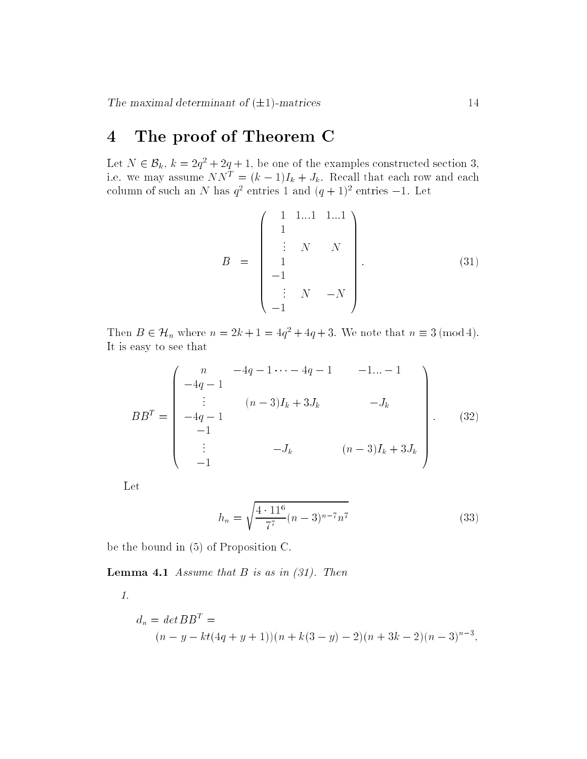# 4 The proof of Theorem C

Let  $N \in \mathcal{D}_k$ ,  $k \equiv 2q^2 + 2q + 1$ , be one of the examples constructed section 5, i.e. we may assume  $N N^{\pm} = (k - 1)I_k + J_k$  . Recall that each row and each column of such an *N* has  $q$ <sup>-</sup> entries 1 and  $(q + 1)$ <sup>-</sup> entries  $-1$ . Let

$$
B = \begin{pmatrix} 1 & 1 & \dots & 1 & 1 & \dots & 1 \\ 1 & & & & & & \\ \vdots & N & & N & & \\ 1 & & & & & \\ -1 & & & & & \\ -1 & & & & & \\ -1 & & & & & \end{pmatrix}
$$
(31)

Then  $B \in \mathcal{H}_n$  where  $n = 2\kappa + 1 = 4q^2 + 4q + 3$ . We note that  $n = 3 \pmod{4}$ . It is easy to see that

$$
BB^{T} = \begin{pmatrix} n & -4q - 1 \cdots - 4q - 1 & -1 \cdots - 1 \\ -4q - 1 & & & & \\ \vdots & (n-3)I_{k} + 3J_{k} & -J_{k} \\ -4q - 1 & & & \\ -1 & & & \\ \vdots & & -J_{k} & (n-3)I_{k} + 3J_{k} \\ -1 & & & \end{pmatrix} . \tag{32}
$$

Let

$$
h_n = \sqrt{\frac{4 \cdot 11^6}{7^7} (n-3)^{n-7} n^7}
$$
\n(33)

be the bound in (5) of Proposition C.

**Lemma 4.1** Assume that  $B$  is as in  $(31)$ . Then

1.

$$
d_n = det BBT =
$$
  
(n - y - kt(4q + y + 1))(n + k(3 - y) - 2)(n + 3k - 2)(n - 3)<sup>n-3</sup>,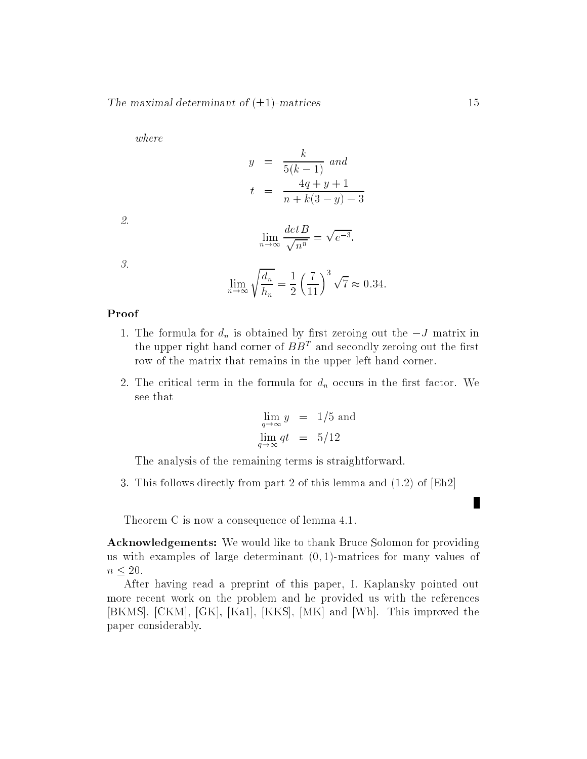where

$$
y = \frac{k}{5(k-1)} \text{ and}
$$
  

$$
t = \frac{4q+y+1}{n+k(3-y)-3}
$$

2.

$$
\lim_{n \to \infty} \frac{\det B}{\sqrt{n^n}} = \sqrt{e^{-3}}.
$$

3.

$$
\lim_{n \to \infty} \sqrt{\frac{d_n}{h_n}} = \frac{1}{2} \left(\frac{7}{11}\right)^3 \sqrt{7} \approx 0.34.
$$

#### Proof

- 1. The formula for  $d_n$  is obtained by first zeroing out the  $-J$  matrix in the upper right hand corner of  $B_{\mathcal{D}}$  and secondly zeroing out the first row of the matrix that remains in the upper left hand corner.
- 2. The critical term in the formula for  $d_n$  occurs in the first factor. We see that

$$
\lim_{q \to \infty} y = 1/5 \text{ and}
$$
  

$$
\lim_{q \to \infty} qt = 5/12
$$

The analysis of the remaining terms is straightforward.

3. This follows directly from part 2 of this lemma and (1.2) of [Eh2]

Theorem C is now a consequence of lemma 4.1.

Acknowledgements: We would like to thank Bruce Solomon for providing us with examples of large determinant  $(0,1)$ -matrices for many values of  $n \leq 20$ .

After having read a preprint of this paper, I. Kaplansky pointed out more recent work on the problem and he provided us with the references [BKMS], [CKM], [GK], [Ka1], [KKS], [MK] and [Wh]. This improved the paper considerably.

I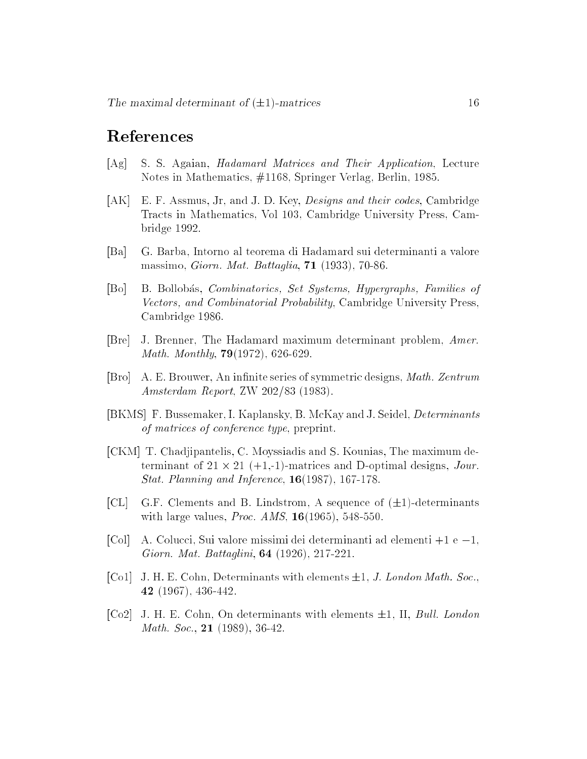## References

- [Ag] S. S. Agaian, Hadamard Matrices and Their Application, Lecture Notes in Mathematics, #1168, Springer Verlag, Berlin, 1985.
- [AK] E. F. Assmus, Jr, and J. D. Key, Designs and their codes, Cambridge Tracts in Mathematics, Vol 103, Cambridge University Press, Cambridge 1992.
- [Ba] G. Barba, Intorno al teorema di Hadamard sui determinanti a valore massimo, Giorn. Mat. Battaglia, 71 (1933), 70-86.
- [Bo] B. Bollobas, Combinatorics, Set Systems, Hypergraphs, Families of Vectors, and Combinatorial Probability, Cambridge University Press, Cambridge 1986.
- [Bre] J. Brenner, The Hadamard maximum determinant problem, Amer. *Math. Monthly*,  $79(1972)$ , 626-629.
- [Bro] A. E. Brouwer, An infinite series of symmetric designs, *Math. Zentrum* Amsterdam Report, ZW 202/83 (1983).
- [BKMS] F. Bussemaker, I. Kaplansky, B. McKay and J. Seidel, Determinants of matrices of conference type, preprint.
- [CKM] T. Chadjipantelis, C. Moyssiadis and S. Kounias, The maximum determinant of 21 - 21 (+1,-1)-matrices and D-optimal designs, Jour. Stat. Planning and Inference, 16(1987), 167-178.
- [CL] G.F. Clements and B. Lindstrom, A sequence of  $(\pm 1)$ -determinants with large values, *Proc. AMS*,  $16(1965)$ , 548-550.
- [Col] A. Colucci, Sui valore missimi dei determinanti ad elementi  $+1$  e  $-1$ , Giorn. Mat. Battaglini, 64 (1926), 217-221.
- [Co1] J. H. E. Cohn, Determinants with elements  $\pm 1$ , J. London Math. Soc., 42 (1967), 436-442.
- [Co2] J. H. E. Cohn, On determinants with elements  $\pm 1$ , II, Bull. London Math. Soc., 21 (1989), 36-42.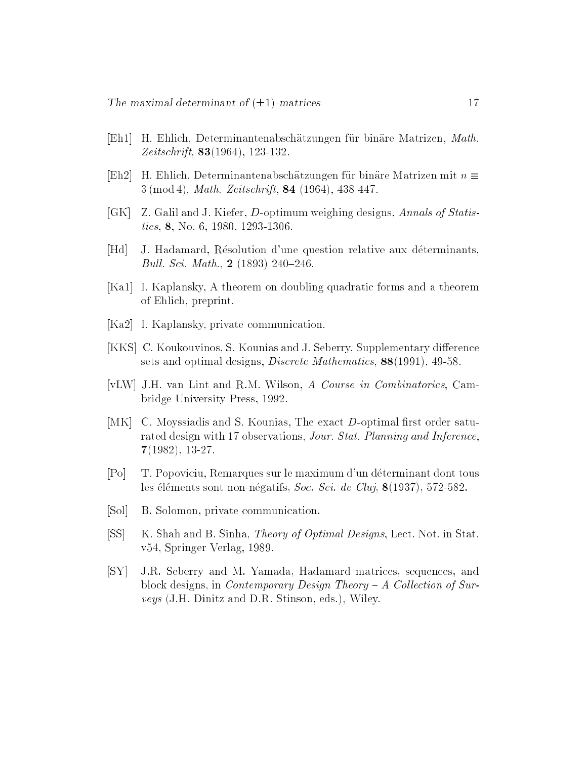- [Eh1] H. Ehlich, Determinantenabschatzungen fur binare Matrizen, Math.  $Zeitschrift, 83(1964), 123-132.$
- $[Eh2]$  H. Ehlich, Determinantenabschätzungen für binäre Matrizen mit  $n \equiv$  $3 \pmod{4}$ , *Math. Zeitschrift*, **84** (1964), 438-447.
- [GK] Z. Galil and J. Kiefer, D-optimum weighing designs, Annals of Statistics, 8, No. 6, 1980, 1293-1306.
- [Hd] J. Hadamard, Résolution d'une question relative aux déterminants, Bull. Sci. Math.,  $2(1893) 240-246$ .
- [Ka1] I. Kaplansky, A theorem on doubling quadratic forms and a theorem of Ehlich, preprint.
- [Ka2] I. Kaplansky, private communication.
- [KKS] C. Koukouvinos, S. Kounias and J. Seberry, Supplementary difference sets and optimal designs, *Discrete Mathematics*, **88**(1991), 49-58.
- [vLW] J.H. van Lint and R.M. Wilson, A Course in Combinatorics, Cambridge University Press, 1992.
- [MK] C. Moyssiadis and S. Kounias, The exact D-optimal first order saturated design with 17 observations, *Jour. Stat. Planning and Inference*, 7(1982), 13-27.
- [Po] T. Popoviciu, Remarques sur le maximum d'un determinant dont tous les éléments sont non-négatifs, Soc. Sci. de Cluj,  $8(1937)$ , 572-582.
- [Sol] B. Solomon, private communication.
- [SS] K. Shah and B. Sinha, *Theory of Optimal Designs*, Lect. Not. in Stat. v54, Springer Verlag, 1989.
- [SY] J.R. Seberry and M. Yamada, Hadamard matrices, sequences, and block designs, in *Contemporary Design Theory - A Collection of Sur*veys (J.H. Dinitz and D.R. Stinson, eds.), Wiley.